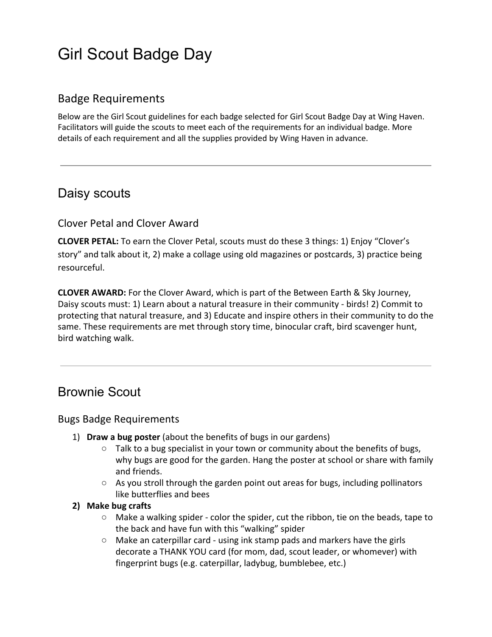#### Badge Requirements

Below are the Girl Scout guidelines for each badge selected for Girl Scout Badge Day at Wing Haven. Facilitators will guide the scouts to meet each of the requirements for an individual badge. More details of each requirement and all the supplies provided by Wing Haven in advance.

### Daisy scouts

#### Clover Petal and Clover Award

**CLOVER PETAL:** To earn the Clover Petal, scouts must do these 3 things: 1) Enjoy "Clover's story" and talk about it, 2) make a collage using old magazines or postcards, 3) practice being resourceful.

**CLOVER AWARD:** For the Clover Award, which is part of the Between Earth & Sky Journey, Daisy scouts must: 1) Learn about a natural treasure in their community - birds! 2) Commit to protecting that natural treasure, and 3) Educate and inspire others in their community to do the same. These requirements are met through story time, binocular craft, bird scavenger hunt, bird watching walk.

### Brownie Scout

#### Bugs Badge Requirements

- 1) **Draw a bug poster** (about the benefits of bugs in our gardens)
	- $\circ$  Talk to a bug specialist in your town or community about the benefits of bugs, why bugs are good for the garden. Hang the poster at school or share with family and friends.
	- $\circ$  As you stroll through the garden point out areas for bugs, including pollinators like butterflies and bees

#### **2) Make bug crafts**

- $\circ$  Make a walking spider color the spider, cut the ribbon, tie on the beads, tape to the back and have fun with this "walking" spider
- Make an caterpillar card using ink stamp pads and markers have the girls decorate a THANK YOU card (for mom, dad, scout leader, or whomever) with fingerprint bugs (e.g. caterpillar, ladybug, bumblebee, etc.)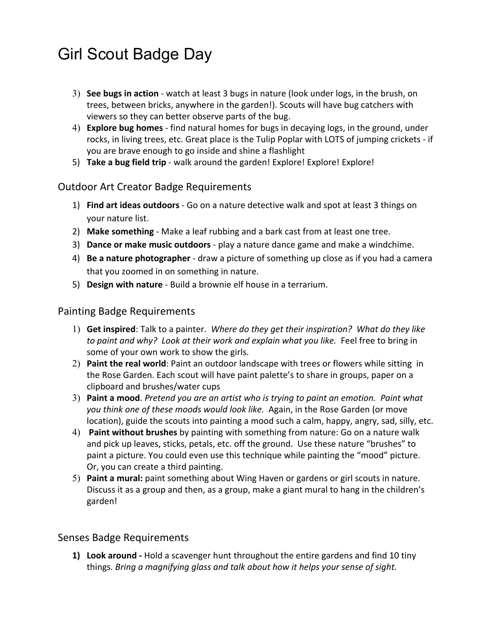- 3) **See bugs in action**  watch at least 3 bugs in nature (look under logs, in the brush, on trees, between bricks, anywhere in the garden!). Scouts will have bug catchers with viewers so they can better observe parts of the bug.
- 4) **Explore bug homes** find natural homes for bugs in decaying logs, in the ground, under rocks, in living trees, etc. Great place is the Tulip Poplar with LOTS of jumping crickets - if you are brave enough to go inside and shine a flashlight
- 5) **Take a bug field trip** walk around the garden! Explore! Explore! Explore!

#### Outdoor Art Creator Badge Requirements

- 1) **Find art ideas outdoors** Go on a nature detective walk and spot at least 3 things on your nature list.
- 2) **Make something** Make a leaf rubbing and a bark cast from at least one tree.
- 3) **Dance or make music outdoors** play a nature dance game and make a windchime.
- 4) **Be a nature photographer** draw a picture of something up close as if you had a camera that you zoomed in on something in nature.
- 5) **Design with nature** Build a brownie elf house in a terrarium.

#### Painting Badge Requirements

- 1) **Get inspired**: Talk to a painter. *Where do they get their inspiration? What do they like* to paint and why? Look at their work and explain what you like. Feel free to bring in some of your own work to show the girls.
- 2) **Paint the real world**: Paint an outdoor landscape with trees or flowers while sitting in the Rose Garden. Each scout will have paint palette's to share in groups, paper on a clipboard and brushes/water cups
- 3) **Paint a mood**. *Pretend you are an artist who is trying to paint an emotion. Paint what you think one of these moods would look like.* Again, in the Rose Garden (or move location), guide the scouts into painting a mood such a calm, happy, angry, sad, silly, etc.
- 4) **Paint without brushes** by painting with something from nature: Go on a nature walk and pick up leaves, sticks, petals, etc. off the ground. Use these nature "brushes" to paint a picture. You could even use this technique while painting the "mood" picture. Or, you can create a third painting.
- 5) **Paint a mural:** paint something about Wing Haven or gardens or girl scouts in nature. Discuss it as a group and then, as a group, make a giant mural to hang in the children's garden!

#### Senses Badge Requirements

**1) Look around -** Hold a scavenger hunt throughout the entire gardens and find 10 tiny things*. Bring a magnifying glass and talk about how it helps your sense of sight.*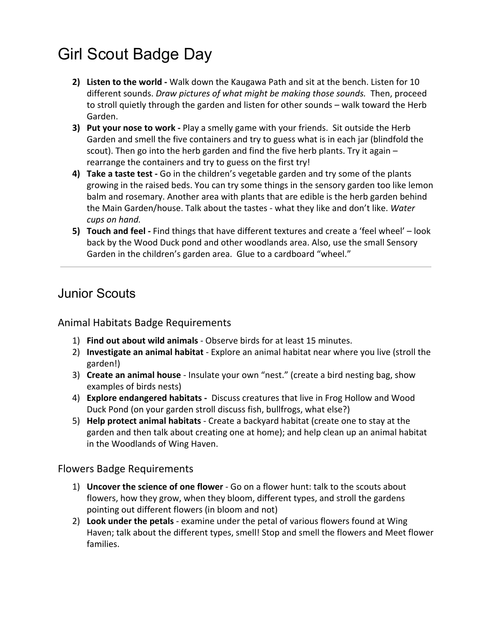- **2) Listen to the world** Walk down the Kaugawa Path and sit at the bench. Listen for 10 different sounds. *Draw pictures of what might be making those sounds.* Then, proceed to stroll quietly through the garden and listen for other sounds – walk toward the Herb Garden.
- **3) Put your nose to work** Play a smelly game with your friends. Sit outside the Herb Garden and smell the five containers and try to guess what is in each jar (blindfold the scout). Then go into the herb garden and find the five herb plants. Try it again  $$ rearrange the containers and try to guess on the first try!
- **4) Take a taste test** Go in the children's vegetable garden and try some of the plants growing in the raised beds. You can try some things in the sensory garden too like lemon balm and rosemary. Another area with plants that are edible is the herb garden behind the Main Garden/house. Talk about the tastes - what they like and don't like. *Water cups on hand.*
- **5) Touch and feel** Find things that have different textures and create a 'feel wheel' look back by the Wood Duck pond and other woodlands area. Also, use the small Sensory Garden in the children's garden area. Glue to a cardboard "wheel."

### Junior Scouts

#### Animal Habitats Badge Requirements

- 1) **Find out about wild animals** Observe birds for at least 15 minutes.
- 2) **Investigate an animal habitat** Explore an animal habitat near where you live (stroll the garden!)
- 3) **Create an animal house** Insulate your own "nest." (create a bird nesting bag, show examples of birds nests)
- 4) **Explore endangered habitats -** Discuss creatures that live in Frog Hollow and Wood Duck Pond (on your garden stroll discuss fish, bullfrogs, what else?)
- 5) **Help protect animal habitats** Create a backyard habitat (create one to stay at the garden and then talk about creating one at home); and help clean up an animal habitat in the Woodlands of Wing Haven.

#### Flowers Badge Requirements

- 1) **Uncover the science of one flower** Go on a flower hunt: talk to the scouts about flowers, how they grow, when they bloom, different types, and stroll the gardens pointing out different flowers (in bloom and not)
- 2) **Look under the petals** examine under the petal of various flowers found at Wing Haven; talk about the different types, smell! Stop and smell the flowers and Meet flower families.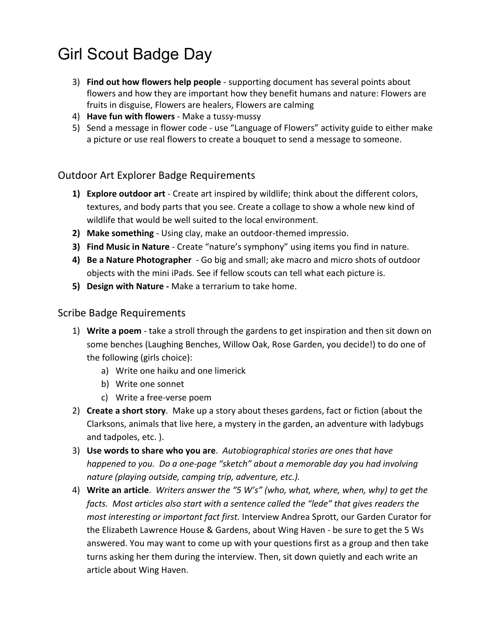- 3) **Find out how flowers help people** supporting document has several points about flowers and how they are important how they benefit humans and nature: Flowers are fruits in disguise, Flowers are healers, Flowers are calming
- 4) **Have fun with flowers** Make a tussy-mussy
- 5) Send a message in flower code use "Language of Flowers" activity guide to either make a picture or use real flowers to create a bouquet to send a message to someone.

#### Outdoor Art Explorer Badge Requirements

- **1) Explore outdoor art**  Create art inspired by wildlife; think about the different colors, textures, and body parts that you see. Create a collage to show a whole new kind of wildlife that would be well suited to the local environment.
- **2) Make something** Using clay, make an outdoor-themed impressio.
- **3) Find Music in Nature** Create "nature's symphony" using items you find in nature.
- **4) Be a Nature Photographer**  Go big and small; ake macro and micro shots of outdoor objects with the mini iPads. See if fellow scouts can tell what each picture is.
- **5) Design with Nature** Make a terrarium to take home.

#### Scribe Badge Requirements

- 1) **Write a poem** take a stroll through the gardens to get inspiration and then sit down on some benches (Laughing Benches, Willow Oak, Rose Garden, you decide!) to do one of the following (girls choice):
	- a) Write one haiku and one limerick
	- b) Write one sonnet
	- c) Write a free-verse poem
- 2) **Create a short story**. Make up a story about theses gardens, fact or fiction (about the Clarksons, animals that live here, a mystery in the garden, an adventure with ladybugs and tadpoles, etc. ).
- 3) **Use words to share who you are**. *Autobiographical stories are ones that have happened to you. Do a one-page "sketch" about a memorable day you had involving nature (playing outside, camping trip, adventure, etc.).*
- 4) **Write an article**. *Writers answer the "5 W's" (who, what, where, when, why) to get the facts. Most articles also start with a sentence called the "lede" that gives readers the most interesting or important fact first.* Interview Andrea Sprott, our Garden Curator for the Elizabeth Lawrence House & Gardens, about Wing Haven - be sure to get the 5 Ws answered. You may want to come up with your questions first as a group and then take turns asking her them during the interview. Then, sit down quietly and each write an article about Wing Haven.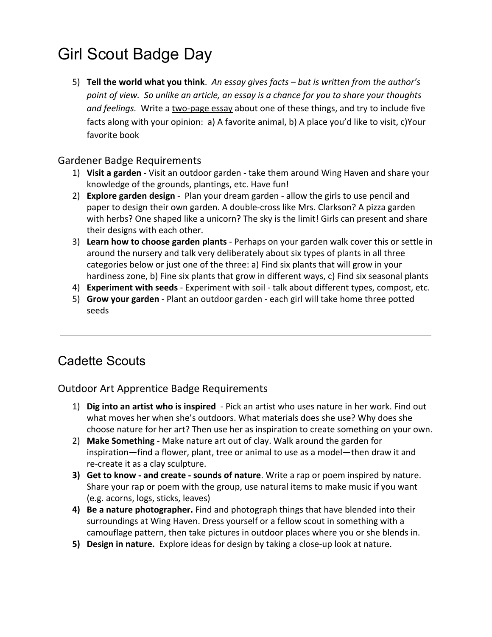5) **Tell the world what you think**. *An essay gives facts – but is written from the author's point of view. So unlike an article, an essay is a chance for you to share your thoughts* and feelings. Write a two-page essay about one of these things, and try to include five facts along with your opinion: a) A favorite animal, b) A place you'd like to visit, c)Your favorite book

#### Gardener Badge Requirements

- 1) **Visit a garden** Visit an outdoor garden take them around Wing Haven and share your knowledge of the grounds, plantings, etc. Have fun!
- 2) **Explore garden design** Plan your dream garden allow the girls to use pencil and paper to design their own garden. A double-cross like Mrs. Clarkson? A pizza garden with herbs? One shaped like a unicorn? The sky is the limit! Girls can present and share their designs with each other.
- 3) **Learn how to choose garden plants** Perhaps on your garden walk cover this or settle in around the nursery and talk very deliberately about six types of plants in all three categories below or just one of the three: a) Find six plants that will grow in your hardiness zone, b) Fine six plants that grow in different ways, c) Find six seasonal plants
- 4) **Experiment with seeds** Experiment with soil talk about different types, compost, etc.
- 5) **Grow your garden** Plant an outdoor garden each girl will take home three potted seeds

### Cadette Scouts

#### Outdoor Art Apprentice Badge Requirements

- 1) **Dig into an artist who is inspired**  Pick an artist who uses nature in her work. Find out what moves her when she's outdoors. What materials does she use? Why does she choose nature for her art? Then use her as inspiration to create something on your own.
- 2) **Make Something**  Make nature art out of clay. Walk around the garden for inspiration—find a flower, plant, tree or animal to use as a model—then draw it and re-create it as a clay sculpture.
- **3) Get to know and create sounds of nature**. Write a rap or poem inspired by nature. Share your rap or poem with the group, use natural items to make music if you want (e.g. acorns, logs, sticks, leaves)
- **4) Be a nature photographer.** Find and photograph things that have blended into their surroundings at Wing Haven. Dress yourself or a fellow scout in something with a camouflage pattern, then take pictures in outdoor places where you or she blends in.
- **5) Design in nature.** Explore ideas for design by taking a close-up look at nature.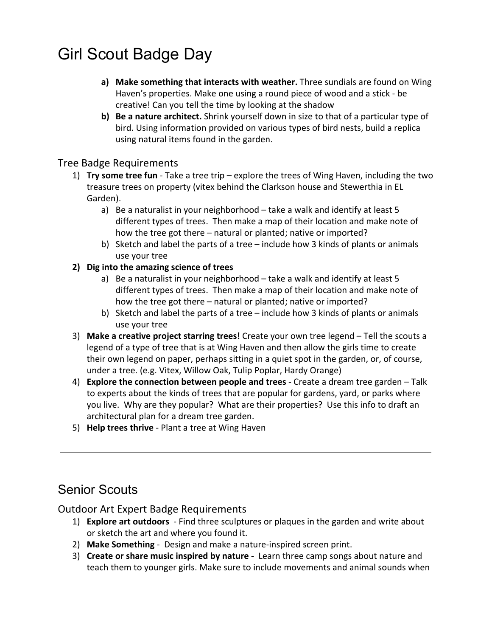- **a) Make something that interacts with weather.** Three sundials are found on Wing Haven's properties. Make one using a round piece of wood and a stick - be creative! Can you tell the time by looking at the shadow
- **b) Be a nature architect.** Shrink yourself down in size to that of a particular type of bird. Using information provided on various types of bird nests, build a replica using natural items found in the garden.

#### Tree Badge Requirements

- 1) **Try some tree fun** Take a tree trip explore the trees of Wing Haven, including the two treasure trees on property (vitex behind the Clarkson house and Stewerthia in EL Garden).
	- a) Be a naturalist in your neighborhood take a walk and identify at least 5 different types of trees. Then make a map of their location and make note of how the tree got there – natural or planted; native or imported?
	- b) Sketch and label the parts of a tree include how 3 kinds of plants or animals use your tree
- **2) Dig into the amazing science of trees**
	- a) Be a naturalist in your neighborhood take a walk and identify at least 5 different types of trees. Then make a map of their location and make note of how the tree got there – natural or planted; native or imported?
	- b) Sketch and label the parts of a tree include how 3 kinds of plants or animals use your tree
- 3) **Make a creative project starring trees!** Create your own tree legend Tell the scouts a legend of a type of tree that is at Wing Haven and then allow the girls time to create their own legend on paper, perhaps sitting in a quiet spot in the garden, or, of course, under a tree. (e.g. Vitex, Willow Oak, Tulip Poplar, Hardy Orange)
- 4) **Explore the connection between people and trees** Create a dream tree garden Talk to experts about the kinds of trees that are popular for gardens, yard, or parks where you live. Why are they popular? What are their properties? Use this info to draft an architectural plan for a dream tree garden.
- 5) **Help trees thrive**  Plant a tree at Wing Haven

### Senior Scouts

#### Outdoor Art Expert Badge Requirements

- 1) **Explore art outdoors**  Find three sculptures or plaques in the garden and write about or sketch the art and where you found it.
- 2) **Make Something**  Design and make a nature-inspired screen print.
- 3) **Create or share music inspired by nature**  Learn three camp songs about nature and teach them to younger girls. Make sure to include movements and animal sounds when